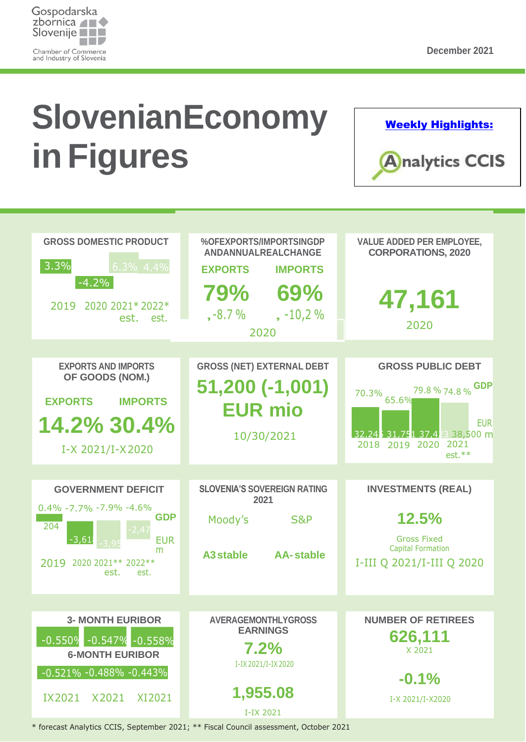

## **SlovenianEconomy in Figures**

## [Weekly Highlights:](https://analitika.gzs.si/Novice/cid/797?Category=weekly-economc-highlights)





\* forecast Analytics CCIS, September 2021; \*\* Fiscal Council assessment, October 2021